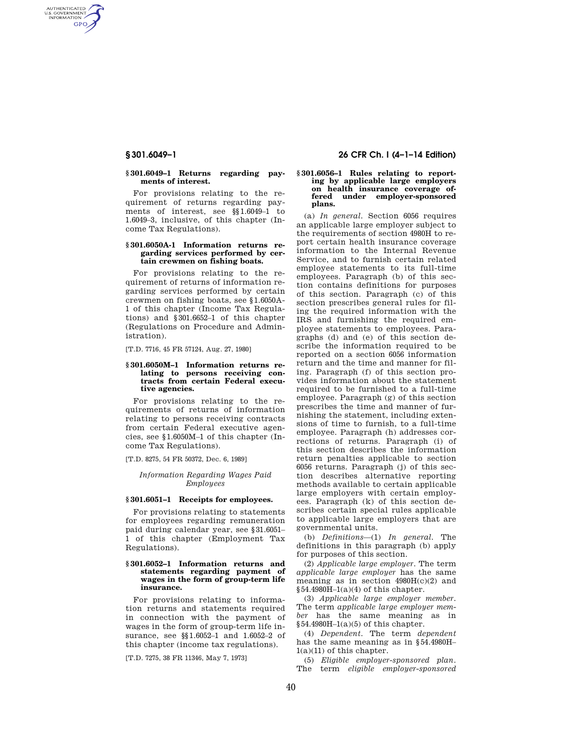AUTHENTICATED<br>U.S. GOVERNMENT<br>INFORMATION **GPO** 

#### **§ 301.6049–1 Returns regarding payments of interest.**

For provisions relating to the requirement of returns regarding payments of interest, see §§1.6049–1 to 1.6049–3, inclusive, of this chapter (Income Tax Regulations).

#### **§ 301.6050A-1 Information returns regarding services performed by certain crewmen on fishing boats.**

For provisions relating to the requirement of returns of information regarding services performed by certain crewmen on fishing boats, see §1.6050A-1 of this chapter (Income Tax Regulations) and §301.6652–1 of this chapter (Regulations on Procedure and Administration).

[T.D. 7716, 45 FR 57124, Aug. 27, 1980]

### **§ 301.6050M–1 Information returns relating to persons receiving contracts from certain Federal executive agencies.**

For provisions relating to the requirements of returns of information relating to persons receiving contracts from certain Federal executive agencies, see §1.6050M–1 of this chapter (Income Tax Regulations).

[T.D. 8275, 54 FR 50372, Dec. 6, 1989]

#### *Information Regarding Wages Paid Employees*

# **§ 301.6051–1 Receipts for employees.**

For provisions relating to statements for employees regarding remuneration paid during calendar year, see §31.6051– 1 of this chapter (Employment Tax Regulations).

#### **§ 301.6052–1 Information returns and statements regarding payment of wages in the form of group-term life insurance.**

For provisions relating to information returns and statements required in connection with the payment of wages in the form of group-term life insurance, see §§1.6052–1 and 1.6052–2 of this chapter (income tax regulations).

[T.D. 7275, 38 FR 11346, May 7, 1973]

# **§ 301.6049–1 26 CFR Ch. I (4–1–14 Edition)**

#### **§ 301.6056–1 Rules relating to reporting by applicable large employers on health insurance coverage offered under employer-sponsored plans.**

(a) *In general.* Section 6056 requires an applicable large employer subject to the requirements of section 4980H to report certain health insurance coverage information to the Internal Revenue Service, and to furnish certain related employee statements to its full-time employees. Paragraph (b) of this section contains definitions for purposes of this section. Paragraph (c) of this section prescribes general rules for filing the required information with the IRS and furnishing the required employee statements to employees. Paragraphs (d) and (e) of this section describe the information required to be reported on a section 6056 information return and the time and manner for filing. Paragraph (f) of this section provides information about the statement required to be furnished to a full-time employee. Paragraph (g) of this section prescribes the time and manner of furnishing the statement, including extensions of time to furnish, to a full-time employee. Paragraph (h) addresses corrections of returns. Paragraph (i) of this section describes the information return penalties applicable to section 6056 returns. Paragraph (j) of this section describes alternative reporting methods available to certain applicable large employers with certain employees. Paragraph (k) of this section describes certain special rules applicable to applicable large employers that are governmental units.

(b) *Definitions*—(1) *In general.* The definitions in this paragraph (b) apply for purposes of this section.

(2) *Applicable large employer.* The term *applicable large employer* has the same meaning as in section  $4980H(c)(2)$  and  $§54.4980H-1(a)(4)$  of this chapter.

(3) *Applicable large employer member.*  The term *applicable large employer member* has the same meaning as in  $§54.4980H-1(a)(5)$  of this chapter.

(4) *Dependent.* The term *dependent*  has the same meaning as in §54.4980H– 1(a)(11) of this chapter.

(5) *Eligible employer-sponsored plan.*  The term *eligible employer-sponsored*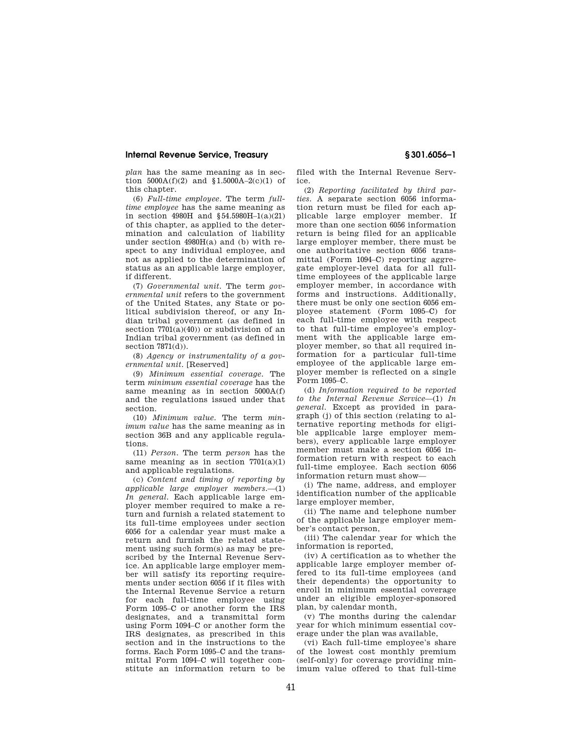### **Internal Revenue Service, Treasury § 301.6056–1**

*plan* has the same meaning as in section  $5000A(f)(2)$  and  $$1.5000A-2(c)(1)$  of this chapter.

(6) *Full-time employee.* The term *fulltime employee* has the same meaning as in section 4980H and §54.5980H–1(a)(21) of this chapter, as applied to the determination and calculation of liability under section  $4980H(a)$  and (b) with respect to any individual employee, and not as applied to the determination of status as an applicable large employer, if different.

(7) *Governmental unit.* The term *governmental unit* refers to the government of the United States, any State or political subdivision thereof, or any Indian tribal government (as defined in section  $7701(a)(40)$  or subdivision of an Indian tribal government (as defined in section 7871(d)).

(8) *Agency or instrumentality of a governmental unit.* [Reserved]

(9) *Minimum essential coverage.* The term *minimum essential coverage* has the same meaning as in section 5000A(f) and the regulations issued under that section.

(10) *Minimum value.* The term *minimum value* has the same meaning as in section 36B and any applicable regulations.

(11) *Person.* The term *person* has the same meaning as in section  $7701(a)(1)$ and applicable regulations.

(c) *Content and timing of reporting by applicable large employer members.*—(1) *In general.* Each applicable large employer member required to make a return and furnish a related statement to its full-time employees under section 6056 for a calendar year must make a return and furnish the related statement using such form(s) as may be prescribed by the Internal Revenue Service. An applicable large employer member will satisfy its reporting requirements under section 6056 if it files with the Internal Revenue Service a return for each full-time employee using Form 1095–C or another form the IRS designates, and a transmittal form using Form 1094–C or another form the IRS designates, as prescribed in this section and in the instructions to the forms. Each Form 1095–C and the transmittal Form 1094–C will together constitute an information return to be

filed with the Internal Revenue Service.

(2) *Reporting facilitated by third parties.* A separate section 6056 information return must be filed for each applicable large employer member. If more than one section 6056 information return is being filed for an applicable large employer member, there must be one authoritative section 6056 transmittal (Form 1094–C) reporting aggregate employer-level data for all fulltime employees of the applicable large employer member, in accordance with forms and instructions. Additionally, there must be only one section 6056 employee statement (Form 1095–C) for each full-time employee with respect to that full-time employee's employment with the applicable large employer member, so that all required information for a particular full-time employee of the applicable large employer member is reflected on a single Form 1095–C.

(d) *Information required to be reported to the Internal Revenue Service*—(1) *In general.* Except as provided in paragraph (j) of this section (relating to alternative reporting methods for eligible applicable large employer members), every applicable large employer member must make a section 6056 information return with respect to each full-time employee. Each section 6056 information return must show—

(i) The name, address, and employer identification number of the applicable large employer member,

(ii) The name and telephone number of the applicable large employer member's contact person,

(iii) The calendar year for which the information is reported,

(iv) A certification as to whether the applicable large employer member offered to its full-time employees (and their dependents) the opportunity to enroll in minimum essential coverage under an eligible employer-sponsored plan, by calendar month,

(v) The months during the calendar year for which minimum essential coverage under the plan was available,

(vi) Each full-time employee's share of the lowest cost monthly premium (self-only) for coverage providing minimum value offered to that full-time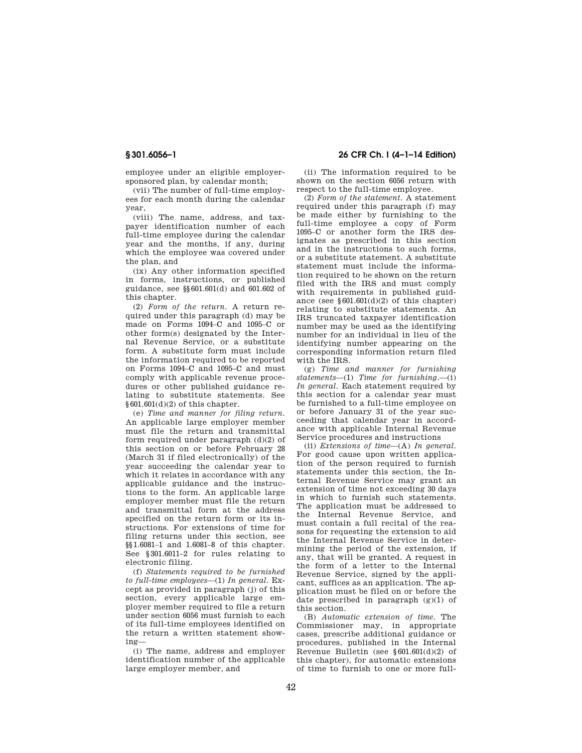employee under an eligible employersponsored plan, by calendar month;

(vii) The number of full-time employees for each month during the calendar year,

(viii) The name, address, and taxpayer identification number of each full-time employee during the calendar year and the months, if any, during which the employee was covered under the plan, and

(ix) Any other information specified in forms, instructions, or published guidance, see §§601.601(d) and 601.602 of this chapter.

(2) *Form of the return.* A return required under this paragraph (d) may be made on Forms 1094–C and 1095–C or other form(s) designated by the Internal Revenue Service, or a substitute form. A substitute form must include the information required to be reported on Forms 1094–C and 1095–C and must comply with applicable revenue procedures or other published guidance relating to substitute statements. See  $§601.601(d)(2)$  of this chapter.

(e) *Time and manner for filing return.*  An applicable large employer member must file the return and transmittal form required under paragraph (d)(2) of this section on or before February 28 (March 31 if filed electronically) of the year succeeding the calendar year to which it relates in accordance with any applicable guidance and the instructions to the form. An applicable large employer member must file the return and transmittal form at the address specified on the return form or its instructions. For extensions of time for filing returns under this section, see §§1.6081–1 and 1.6081–8 of this chapter. See §301.6011–2 for rules relating to electronic filing.

(f) *Statements required to be furnished to full-time employees*—(1) *In general.* Except as provided in paragraph (j) of this section, every applicable large employer member required to file a return under section 6056 must furnish to each of its full-time employees identified on the return a written statement showing—

(i) The name, address and employer identification number of the applicable large employer member, and

# **§ 301.6056–1 26 CFR Ch. I (4–1–14 Edition)**

(ii) The information required to be shown on the section 6056 return with respect to the full-time employee.

(2) *Form of the statement.* A statement required under this paragraph (f) may be made either by furnishing to the full-time employee a copy of Form 1095–C or another form the IRS designates as prescribed in this section and in the instructions to such forms, or a substitute statement. A substitute statement must include the information required to be shown on the return filed with the IRS and must comply with requirements in published guidance (see  $§601.601(d)(2)$  of this chapter) relating to substitute statements. An IRS truncated taxpayer identification number may be used as the identifying number for an individual in lieu of the identifying number appearing on the corresponding information return filed with the IRS.

(g) *Time and manner for furnishing statements*—(1) *Time for furnishing.*—(i) *In general.* Each statement required by this section for a calendar year must be furnished to a full-time employee on or before January 31 of the year succeeding that calendar year in accordance with applicable Internal Revenue Service procedures and instructions

(ii) *Extensions of time*—(A) *In general.*  For good cause upon written application of the person required to furnish statements under this section, the Internal Revenue Service may grant an extension of time not exceeding 30 days in which to furnish such statements. The application must be addressed to the Internal Revenue Service, and must contain a full recital of the reasons for requesting the extension to aid the Internal Revenue Service in determining the period of the extension, if any, that will be granted. A request in the form of a letter to the Internal Revenue Service, signed by the applicant, suffices as an application. The application must be filed on or before the date prescribed in paragraph  $(g)(1)$  of this section.

(B) *Automatic extension of time.* The Commissioner may, in appropriate cases, prescribe additional guidance or procedures, published in the Internal Revenue Bulletin (see §601.601(d)(2) of this chapter), for automatic extensions of time to furnish to one or more full-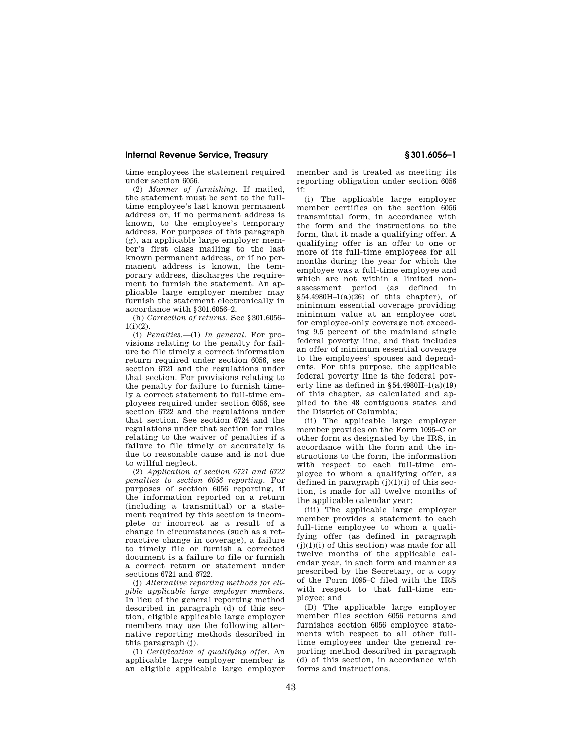### **Internal Revenue Service, Treasury § 301.6056–1**

time employees the statement required under section 6056.

(2) *Manner of furnishing.* If mailed, the statement must be sent to the fulltime employee's last known permanent address or, if no permanent address is known, to the employee's temporary address. For purposes of this paragraph (g), an applicable large employer member's first class mailing to the last known permanent address, or if no permanent address is known, the temporary address, discharges the requirement to furnish the statement. An applicable large employer member may furnish the statement electronically in accordance with §301.6056–2.

(h) *Correction of returns.* See §301.6056–  $1(i)(2)$ .

(i) *Penalties.*—(1) *In general.* For provisions relating to the penalty for failure to file timely a correct information return required under section 6056, see section 6721 and the regulations under that section. For provisions relating to the penalty for failure to furnish timely a correct statement to full-time employees required under section 6056, see section 6722 and the regulations under that section. See section 6724 and the regulations under that section for rules relating to the waiver of penalties if a failure to file timely or accurately is due to reasonable cause and is not due to willful neglect.

(2) *Application of section 6721 and 6722 penalties to section 6056 reporting.* For purposes of section 6056 reporting, if the information reported on a return (including a transmittal) or a statement required by this section is incomplete or incorrect as a result of a change in circumstances (such as a retroactive change in coverage), a failure to timely file or furnish a corrected document is a failure to file or furnish a correct return or statement under sections 6721 and 6722.

(j) *Alternative reporting methods for eligible applicable large employer members.*  In lieu of the general reporting method described in paragraph (d) of this section, eligible applicable large employer members may use the following alternative reporting methods described in this paragraph (j).

(1) *Certification of qualifying offer.* An applicable large employer member is an eligible applicable large employer member and is treated as meeting its reporting obligation under section 6056 if:

(i) The applicable large employer member certifies on the section 6056 transmittal form, in accordance with the form and the instructions to the form, that it made a qualifying offer. A qualifying offer is an offer to one or more of its full-time employees for all months during the year for which the employee was a full-time employee and which are not within a limited nonassessment period (as defined in  $§54.4980H-1(a)(26)$  of this chapter), of minimum essential coverage providing minimum value at an employee cost for employee-only coverage not exceeding 9.5 percent of the mainland single federal poverty line, and that includes an offer of minimum essential coverage to the employees' spouses and dependents. For this purpose, the applicable federal poverty line is the federal poverty line as defined in §54.4980H–1(a)(19) of this chapter, as calculated and applied to the 48 contiguous states and the District of Columbia;

(ii) The applicable large employer member provides on the Form 1095–C or other form as designated by the IRS, in accordance with the form and the instructions to the form, the information with respect to each full-time employee to whom a qualifying offer, as defined in paragraph  $(j)(1)(i)$  of this section, is made for all twelve months of the applicable calendar year;

(iii) The applicable large employer member provides a statement to each full-time employee to whom a qualifying offer (as defined in paragraph  $(j)(1)(i)$  of this section) was made for all twelve months of the applicable calendar year, in such form and manner as prescribed by the Secretary, or a copy of the Form 1095–C filed with the IRS with respect to that full-time employee; and

(D) The applicable large employer member files section 6056 returns and furnishes section 6056 employee statements with respect to all other fulltime employees under the general reporting method described in paragraph (d) of this section, in accordance with forms and instructions.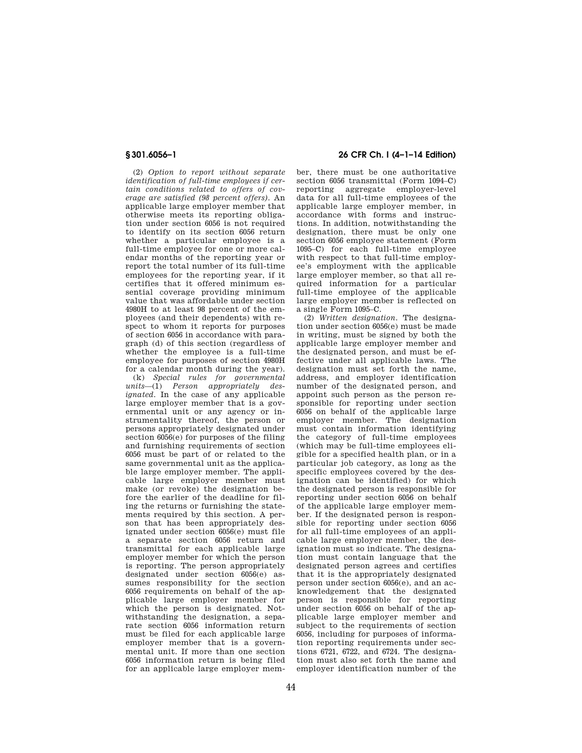(2) *Option to report without separate identification of full-time employees if certain conditions related to offers of coverage are satisfied (98 percent offers).* An applicable large employer member that otherwise meets its reporting obligation under section 6056 is not required to identify on its section 6056 return whether a particular employee is a full-time employee for one or more calendar months of the reporting year or report the total number of its full-time employees for the reporting year, if it certifies that it offered minimum essential coverage providing minimum value that was affordable under section 4980H to at least 98 percent of the employees (and their dependents) with respect to whom it reports for purposes of section 6056 in accordance with paragraph (d) of this section (regardless of whether the employee is a full-time employee for purposes of section 4980H for a calendar month during the year).

(k) *Special rules for governmental units*—(1) *Person appropriately designated.* In the case of any applicable large employer member that is a governmental unit or any agency or instrumentality thereof, the person or persons appropriately designated under section 6056(e) for purposes of the filing and furnishing requirements of section 6056 must be part of or related to the same governmental unit as the applicable large employer member. The applicable large employer member must make (or revoke) the designation before the earlier of the deadline for filing the returns or furnishing the statements required by this section. A person that has been appropriately designated under section 6056(e) must file a separate section 6056 return and transmittal for each applicable large employer member for which the person is reporting. The person appropriately designated under section 6056(e) assumes responsibility for the section 6056 requirements on behalf of the applicable large employer member for which the person is designated. Notwithstanding the designation, a separate section 6056 information return must be filed for each applicable large employer member that is a governmental unit. If more than one section 6056 information return is being filed for an applicable large employer mem-

# **§ 301.6056–1 26 CFR Ch. I (4–1–14 Edition)**

ber, there must be one authoritative section 6056 transmittal (Form 1094–C) reporting aggregate employer-level data for all full-time employees of the applicable large employer member, in accordance with forms and instructions. In addition, notwithstanding the designation, there must be only one section 6056 employee statement (Form 1095–C) for each full-time employee with respect to that full-time employee's employment with the applicable large employer member, so that all required information for a particular full-time employee of the applicable large employer member is reflected on a single Form 1095–C.

(2) *Written designation.* The designation under section 6056(e) must be made in writing, must be signed by both the applicable large employer member and the designated person, and must be effective under all applicable laws. The designation must set forth the name, address, and employer identification number of the designated person, and appoint such person as the person responsible for reporting under section 6056 on behalf of the applicable large employer member. The designation must contain information identifying the category of full-time employees (which may be full-time employees eligible for a specified health plan, or in a particular job category, as long as the specific employees covered by the designation can be identified) for which the designated person is responsible for reporting under section 6056 on behalf of the applicable large employer member. If the designated person is responsible for reporting under section 6056 for all full-time employees of an applicable large employer member, the designation must so indicate. The designation must contain language that the designated person agrees and certifies that it is the appropriately designated person under section 6056(e), and an acknowledgement that the designated person is responsible for reporting under section 6056 on behalf of the applicable large employer member and subject to the requirements of section 6056, including for purposes of information reporting requirements under sections 6721, 6722, and 6724. The designation must also set forth the name and employer identification number of the